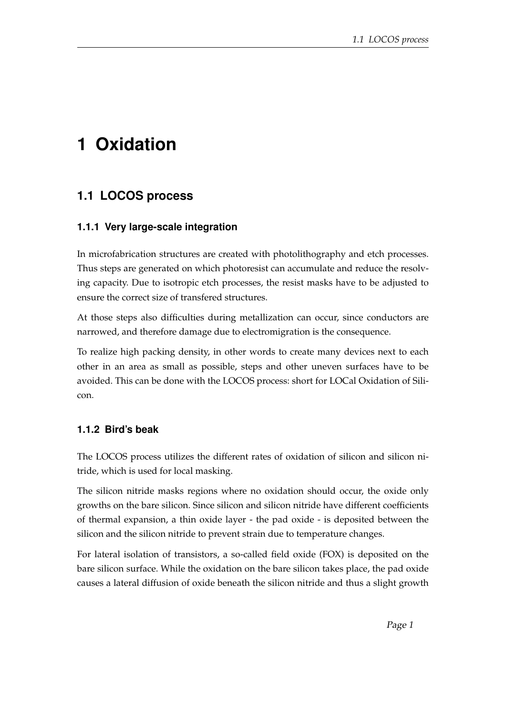# **1 Oxidation**

## **1.1 LOCOS process**

### **1.1.1 Very large-scale integration**

In microfabrication structures are created with photolithography and etch processes. Thus steps are generated on which photoresist can accumulate and reduce the resolving capacity. Due to isotropic etch processes, the resist masks have to be adjusted to ensure the correct size of transfered structures.

At those steps also difficulties during metallization can occur, since conductors are narrowed, and therefore damage due to electromigration is the consequence.

To realize high packing density, in other words to create many devices next to each other in an area as small as possible, steps and other uneven surfaces have to be avoided. This can be done with the LOCOS process: short for LOCal Oxidation of Silicon.

### **1.1.2 Bird's beak**

The LOCOS process utilizes the different rates of oxidation of silicon and silicon nitride, which is used for local masking.

The silicon nitride masks regions where no oxidation should occur, the oxide only growths on the bare silicon. Since silicon and silicon nitride have different coefficients of thermal expansion, a thin oxide layer - the pad oxide - is deposited between the silicon and the silicon nitride to prevent strain due to temperature changes.

For lateral isolation of transistors, a so-called field oxide (FOX) is deposited on the bare silicon surface. While the oxidation on the bare silicon takes place, the pad oxide causes a lateral diffusion of oxide beneath the silicon nitride and thus a slight growth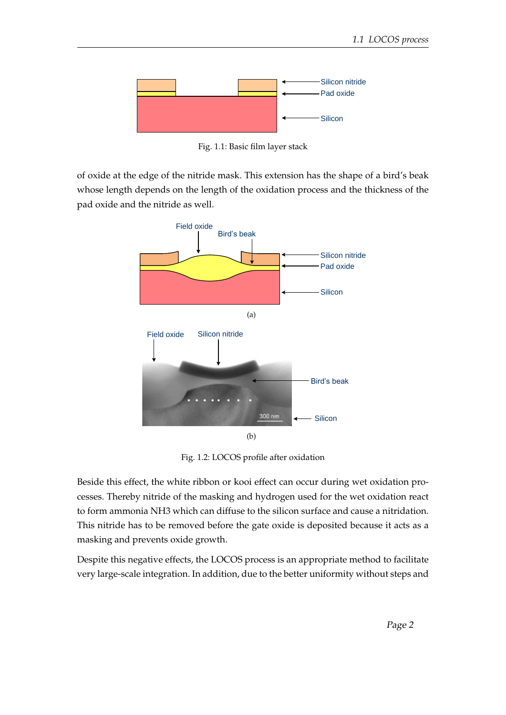

Fig. 1.1: Basic film layer stack

of oxide at the edge of the nitride mask. This extension has the shape of a bird's beak whose length depends on the length of the oxidation process and the thickness of the pad oxide and the nitride as well.



Fig. 1.2: LOCOS profile after oxidation

Beside this effect, the white ribbon or kooi effect can occur during wet oxidation processes. Thereby nitride of the masking and hydrogen used for the wet oxidation react to form ammonia NH3 which can diffuse to the silicon surface and cause a nitridation. This nitride has to be removed before the gate oxide is deposited because it acts as a masking and prevents oxide growth.

Despite this negative effects, the LOCOS process is an appropriate method to facilitate very large-scale integration. In addition, due to the better uniformity without steps and